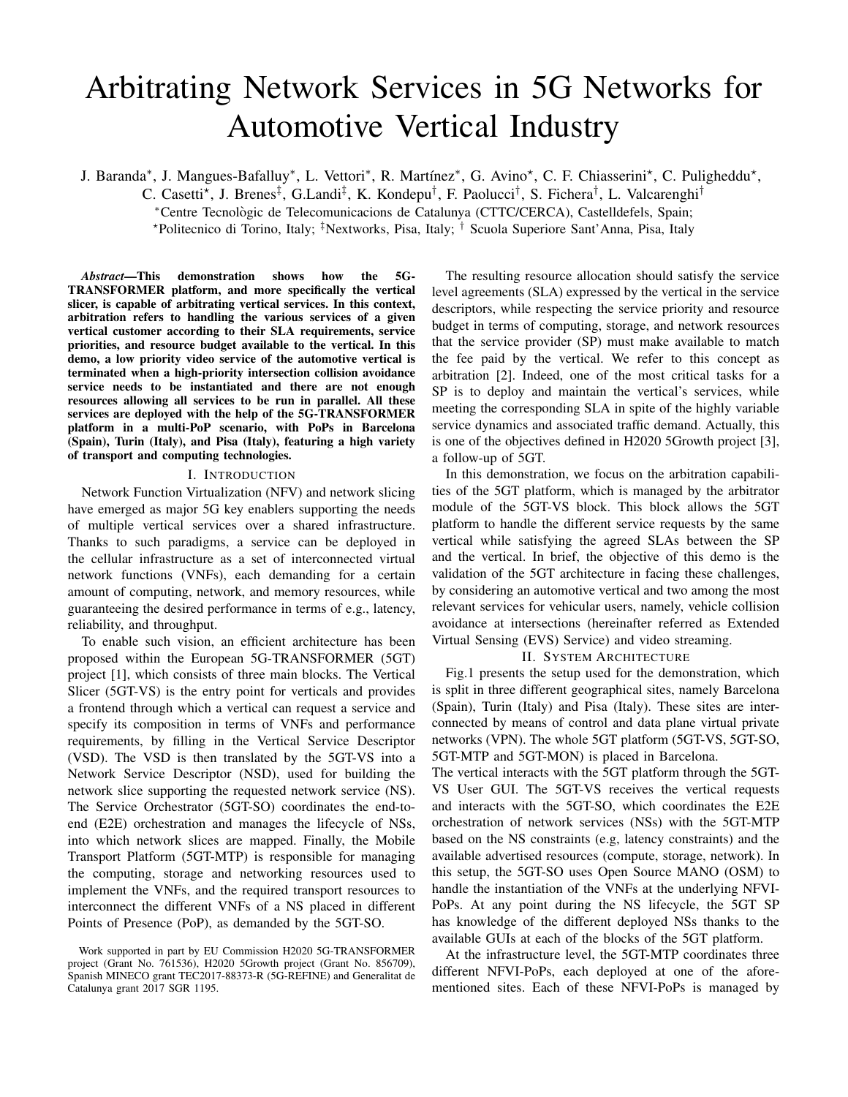# Arbitrating Network Services in 5G Networks for Automotive Vertical Industry

J. Baranda<sup>\*</sup>, J. Mangues-Bafalluy<sup>\*</sup>, L. Vettori<sup>\*</sup>, R. Martínez<sup>\*</sup>, G. Avino<sup>\*</sup>, C. F. Chiasserini<sup>\*</sup>, C. Puligheddu<sup>\*</sup>,

C. Casetti\*, J. Brenes<sup>‡</sup>, G.Landi<sup>‡</sup>, K. Kondepu<sup>†</sup>, F. Paolucci<sup>†</sup>, S. Fichera<sup>†</sup>, L. Valcarenghi<sup>†</sup>

<sup>∗</sup>Centre Tecnologic de Telecomunicacions de Catalunya (CTTC/CERCA), Castelldefels, Spain; `

?Politecnico di Torino, Italy; ‡Nextworks, Pisa, Italy; † Scuola Superiore Sant'Anna, Pisa, Italy

*Abstract*—This demonstration shows how the 5G-TRANSFORMER platform, and more specifically the vertical slicer, is capable of arbitrating vertical services. In this context, arbitration refers to handling the various services of a given vertical customer according to their SLA requirements, service priorities, and resource budget available to the vertical. In this demo, a low priority video service of the automotive vertical is terminated when a high-priority intersection collision avoidance service needs to be instantiated and there are not enough resources allowing all services to be run in parallel. All these services are deployed with the help of the 5G-TRANSFORMER platform in a multi-PoP scenario, with PoPs in Barcelona (Spain), Turin (Italy), and Pisa (Italy), featuring a high variety of transport and computing technologies.

## I. INTRODUCTION

Network Function Virtualization (NFV) and network slicing have emerged as major 5G key enablers supporting the needs of multiple vertical services over a shared infrastructure. Thanks to such paradigms, a service can be deployed in the cellular infrastructure as a set of interconnected virtual network functions (VNFs), each demanding for a certain amount of computing, network, and memory resources, while guaranteeing the desired performance in terms of e.g., latency, reliability, and throughput.

To enable such vision, an efficient architecture has been proposed within the European 5G-TRANSFORMER (5GT) project [1], which consists of three main blocks. The Vertical Slicer (5GT-VS) is the entry point for verticals and provides a frontend through which a vertical can request a service and specify its composition in terms of VNFs and performance requirements, by filling in the Vertical Service Descriptor (VSD). The VSD is then translated by the 5GT-VS into a Network Service Descriptor (NSD), used for building the network slice supporting the requested network service (NS). The Service Orchestrator (5GT-SO) coordinates the end-toend (E2E) orchestration and manages the lifecycle of NSs, into which network slices are mapped. Finally, the Mobile Transport Platform (5GT-MTP) is responsible for managing the computing, storage and networking resources used to implement the VNFs, and the required transport resources to interconnect the different VNFs of a NS placed in different Points of Presence (PoP), as demanded by the 5GT-SO.

The resulting resource allocation should satisfy the service level agreements (SLA) expressed by the vertical in the service descriptors, while respecting the service priority and resource budget in terms of computing, storage, and network resources that the service provider (SP) must make available to match the fee paid by the vertical. We refer to this concept as arbitration [2]. Indeed, one of the most critical tasks for a SP is to deploy and maintain the vertical's services, while meeting the corresponding SLA in spite of the highly variable service dynamics and associated traffic demand. Actually, this is one of the objectives defined in H2020 5Growth project [3], a follow-up of 5GT.

In this demonstration, we focus on the arbitration capabilities of the 5GT platform, which is managed by the arbitrator module of the 5GT-VS block. This block allows the 5GT platform to handle the different service requests by the same vertical while satisfying the agreed SLAs between the SP and the vertical. In brief, the objective of this demo is the validation of the 5GT architecture in facing these challenges, by considering an automotive vertical and two among the most relevant services for vehicular users, namely, vehicle collision avoidance at intersections (hereinafter referred as Extended Virtual Sensing (EVS) Service) and video streaming.

# II. SYSTEM ARCHITECTURE

Fig.1 presents the setup used for the demonstration, which is split in three different geographical sites, namely Barcelona (Spain), Turin (Italy) and Pisa (Italy). These sites are interconnected by means of control and data plane virtual private networks (VPN). The whole 5GT platform (5GT-VS, 5GT-SO, 5GT-MTP and 5GT-MON) is placed in Barcelona.

The vertical interacts with the 5GT platform through the 5GT-VS User GUI. The 5GT-VS receives the vertical requests and interacts with the 5GT-SO, which coordinates the E2E orchestration of network services (NSs) with the 5GT-MTP based on the NS constraints (e.g, latency constraints) and the available advertised resources (compute, storage, network). In this setup, the 5GT-SO uses Open Source MANO (OSM) to handle the instantiation of the VNFs at the underlying NFVI-PoPs. At any point during the NS lifecycle, the 5GT SP has knowledge of the different deployed NSs thanks to the available GUIs at each of the blocks of the 5GT platform.

At the infrastructure level, the 5GT-MTP coordinates three different NFVI-PoPs, each deployed at one of the aforementioned sites. Each of these NFVI-PoPs is managed by

Work supported in part by EU Commission H2020 5G-TRANSFORMER project (Grant No. 761536), H2020 5Growth project (Grant No. 856709), Spanish MINECO grant TEC2017-88373-R (5G-REFINE) and Generalitat de Catalunya grant 2017 SGR 1195.